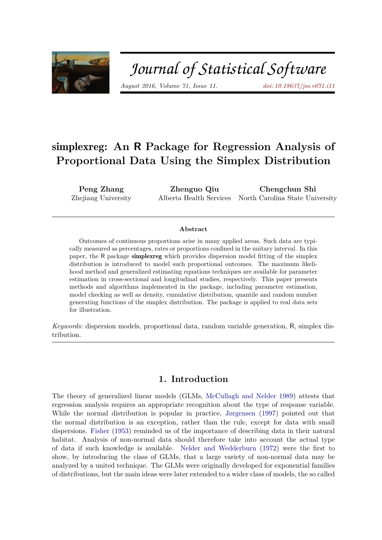

# Journal of Statistical Software

*August 2016, Volume 71, Issue 11. [doi: 10.18637/jss.v071.i11](http://dx.doi.org/10.18637/jss.v071.i11)*

## simplexreg**: An R Package for Regression Analysis of Proportional Data Using the Simplex Distribution**

**Peng Zhang** Zhejiang University

**Zhenguo Qiu** Alberta Health Services **Chengchun Shi** North Carolina State University

#### **Abstract**

Outcomes of continuous proportions arise in many applied areas. Such data are typically measured as percentages, rates or proportions confined in the unitary interval. In this paper, the R package simplexreg which provides dispersion model fitting of the simplex distribution is introduced to model such proportional outcomes. The maximum likelihood method and generalized estimating equations techniques are available for parameter estimation in cross-sectional and longitudinal studies, respectively. This paper presents methods and algorithms implemented in the package, including parameter estimation, model checking as well as density, cumulative distribution, quantile and random number generating functions of the simplex distribution. The package is applied to real data sets for illustration.

*Keywords*: dispersion models, proportional data, random variable generation, R, simplex distribution.

## **1. Introduction**

The theory of generalized linear models (GLMs, [McCullagh and Nelder](#page-18-0) [1989\)](#page-18-0) attests that regression analysis requires an appropriate recognition about the type of response variable. While the normal distribution is popular in practice, [Jørgensen](#page-18-1) [\(1997\)](#page-18-1) pointed out that the normal distribution is an exception, rather than the rule, except for data with small dispersions. [Fisher](#page-18-2) [\(1953\)](#page-18-2) reminded us of the importance of describing data in their natural habitat. Analysis of non-normal data should therefore take into account the actual type of data if such knowledge is available. [Nelder and Wedderburn](#page-18-3) [\(1972\)](#page-18-3) were the first to show, by introducing the class of GLMs, that a large variety of non-normal data may be analyzed by a united technique. The GLMs were originally developed for exponential families of distributions, but the main ideas were later extended to a wider class of models, the so called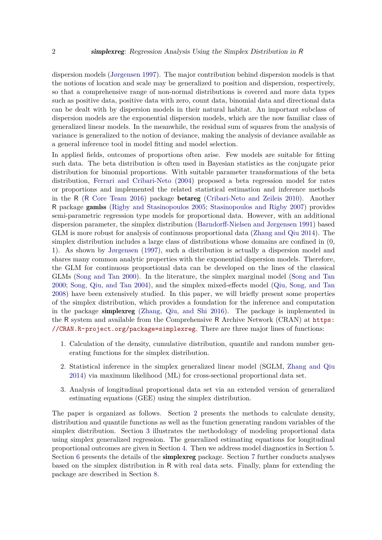dispersion models [\(Jørgensen](#page-18-1) [1997\)](#page-18-1). The major contribution behind dispersion models is that the notions of location and scale may be generalized to position and dispersion, respectively, so that a comprehensive range of non-normal distributions is covered and more data types such as positive data, positive data with zero, count data, binomial data and directional data can be dealt with by dispersion models in their natural habitat. An important subclass of dispersion models are the exponential dispersion models, which are the now familiar class of generalized linear models. In the meanwhile, the residual sum of squares from the analysis of variance is generalized to the notion of deviance, making the analysis of deviance available as a general inference tool in model fitting and model selection.

In applied fields, outcomes of proportions often arise. Few models are suitable for fitting such data. The beta distribution is often used in Bayesian statistics as the conjugate prior distribution for binomial proportions. With suitable parameter transformations of the beta distribution, [Ferrari and Cribari-Neto](#page-18-4) [\(2004\)](#page-18-4) proposed a beta regression model for rates or proportions and implemented the related statistical estimation and inference methods in the R (R [Core Team](#page-19-0) [2016\)](#page-19-0) package betareg [\(Cribari-Neto and Zeileis](#page-18-5) [2010\)](#page-18-5). Another R package gamlss [\(Rigby and Stasinopoulos](#page-19-1) [2005;](#page-19-1) [Stasinopoulos and Rigby](#page-19-2) [2007\)](#page-19-2) provides semi-parametric regression type models for proportional data. However, with an additional dispersion parameter, the simplex distribution [\(Barndorff-Nielsen and Jørgensen](#page-18-6) [1991\)](#page-18-6) based GLM is more robust for analysis of continuous proportional data [\(Zhang and Qiu](#page-19-3) [2014\)](#page-19-3). The simplex distribution includes a large class of distributions whose domains are confined in (0, 1). As shown by [Jørgensen](#page-18-1) [\(1997\)](#page-18-1), such a distribution is actually a dispersion model and shares many common analytic properties with the exponential dispersion models. Therefore, the GLM for continuous proportional data can be developed on the lines of the classical GLMs [\(Song and Tan](#page-19-4) [2000\)](#page-19-4). In the literature, the simplex marginal model [\(Song and Tan](#page-19-4) [2000;](#page-19-4) [Song, Qiu, and Tan](#page-19-5) [2004\)](#page-19-5), and the simplex mixed-effects model [\(Qiu, Song, and Tan](#page-19-6) [2008\)](#page-19-6) have been extensively studied. In this paper, we will briefly present some properties of the simplex distribution, which provides a foundation for the inference and computation in the package simplexreg [\(Zhang, Qiu, and Shi](#page-19-7) [2016\)](#page-19-7). The package is implemented in the R system and available from the Comprehensive R Archive Network (CRAN) at [https:](https://CRAN.R-project.org/package=simplexreg) [//CRAN.R-project.org/package=simplexreg](https://CRAN.R-project.org/package=simplexreg). There are three major lines of functions:

- 1. Calculation of the density, cumulative distribution, quantile and random number generating functions for the simplex distribution.
- 2. Statistical inference in the simplex generalized linear model (SGLM, [Zhang and Qiu](#page-19-3) [2014\)](#page-19-3) via maximum likelihood (ML) for cross-sectional proportional data set.
- 3. Analysis of longitudinal proportional data set via an extended version of generalized estimating equations (GEE) using the simplex distribution.

The paper is organized as follows. Section [2](#page-2-0) presents the methods to calculate density, distribution and quantile functions as well as the function generating random variables of the simplex distribution. Section [3](#page-4-0) illustrates the methodology of modeling proportional data using simplex generalized regression. The generalized estimating equations for longitudinal proportional outcomes are given in Section [4.](#page-5-0) Then we address model diagnostics in Section [5.](#page-7-0) Section [6](#page-8-0) presents the details of the **simplexreg** package. Section [7](#page-11-0) further conducts analyses based on the simplex distribution in R with real data sets. Finally, plans for extending the package are described in Section [8.](#page-17-0)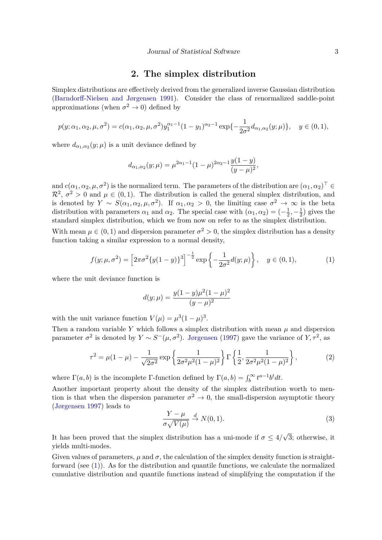### **2. The simplex distribution**

<span id="page-2-0"></span>Simplex distributions are effectively derived from the generalized inverse Gaussian distribution [\(Barndorff-Nielsen and Jørgensen](#page-18-6) [1991\)](#page-18-6). Consider the class of renormalized saddle-point approximations (when  $\sigma^2 \to 0$ ) defined by

$$
p(y; \alpha_1, \alpha_2, \mu, \sigma^2) = c(\alpha_1, \alpha_2, \mu, \sigma^2) y_1^{\alpha_1 - 1} (1 - y_1)^{\alpha_2 - 1} \exp\{-\frac{1}{2\sigma^2} d_{\alpha_1, \alpha_2}(y; \mu)\}, \quad y \in (0, 1),
$$

where  $d_{\alpha_1,\alpha_2}(y;\mu)$  is a unit deviance defined by

$$
d_{\alpha_1,\alpha_2}(y;\mu) = \mu^{2\alpha_1 - 1} (1 - \mu)^{2\alpha_2 - 1} \frac{y(1 - y)}{(y - \mu)^2},
$$

and  $c(\alpha_1, \alpha_2, \mu, \sigma^2)$  is the normalized term. The parameters of the distribution are  $(\alpha_1, \alpha_2)^\top \in$  $\mathcal{R}^2$ ,  $\sigma^2 > 0$  and  $\mu \in (0,1)$ . The distribution is called the general simplex distribution, and is denoted by  $Y \sim S(\alpha_1, \alpha_2, \mu, \sigma^2)$ . If  $\alpha_1, \alpha_2 > 0$ , the limiting case  $\sigma^2 \to \infty$  is the beta distribution with parameters  $\alpha_1$  and  $\alpha_2$ . The special case with  $(\alpha_1, \alpha_2) = \left(-\frac{1}{2}\right)$  $\frac{1}{2}, -\frac{1}{2}$  $(\frac{1}{2})$  gives the standard simplex distribution, which we from now on refer to as the simplex distribution.

With mean  $\mu \in (0,1)$  and dispersion parameter  $\sigma^2 > 0$ , the simplex distribution has a density function taking a similar expression to a normal density,

$$
f(y; \mu, \sigma^2) = \left[2\pi\sigma^2\{y(1-y)\}^3\right]^{-\frac{1}{2}} \exp\left\{-\frac{1}{2\sigma^2}d(y; \mu)\right\}, \quad y \in (0, 1),
$$
 (1)

where the unit deviance function is

<span id="page-2-1"></span>
$$
d(y; \mu) = \frac{y(1-y)\mu^2(1-\mu)^2}{(y-\mu)^2}
$$

with the unit variance function  $V(\mu) = \mu^3 (1 - \mu)^3$ .

Then a random variable Y which follows a simplex distribution with mean  $\mu$  and dispersion parameter  $\sigma^2$  is denoted by  $Y \sim S^-(\mu, \sigma^2)$ . [Jørgensen](#page-18-1) [\(1997\)](#page-18-1) gave the variance of  $Y, \tau^2$ , as

$$
\tau^2 = \mu(1 - \mu) - \frac{1}{\sqrt{2\sigma^2}} \exp\left\{\frac{1}{2\sigma^2 \mu^2 (1 - \mu)^2}\right\} \Gamma\left\{\frac{1}{2}, \frac{1}{2\sigma^2 \mu^2 (1 - \mu)^2}\right\},\tag{2}
$$

where  $\Gamma(a, b)$  is the incomplete  $\Gamma$ -function defined by  $\Gamma(a, b) = \int_b^{\infty} t^{a-1} b^t dt$ .

Another important property about the density of the simplex distribution worth to mention is that when the dispersion parameter  $\sigma^2 \to 0$ , the small-dispersion asymptotic theory [\(Jørgensen](#page-18-1) [1997\)](#page-18-1) leads to

<span id="page-2-2"></span>
$$
\frac{Y - \mu}{\sigma \sqrt{V(\mu)}} \stackrel{d}{\to} N(0, 1). \tag{3}
$$

It has been proved that the simplex distribution has a uni-mode if  $\sigma \leq 4/$ √ 3; otherwise, it yields multi-modes.

Given values of parameters,  $\mu$  and  $\sigma$ , the calculation of the simplex density function is straightforward (see [\(1\)](#page-2-1)). As for the distribution and quantile functions, we calculate the normalized cumulative distribution and quantile functions instead of simplifying the computation if the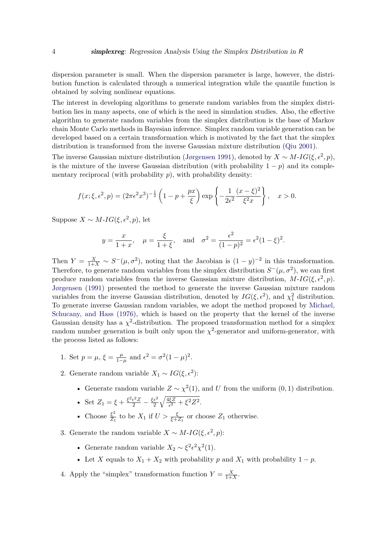dispersion parameter is small. When the dispersion parameter is large, however, the distribution function is calculated through a numerical integration while the quantile function is obtained by solving nonlinear equations.

The interest in developing algorithms to generate random variables from the simplex distribution lies in many aspects, one of which is the need in simulation studies. Also, the effective algorithm to generate random variables from the simplex distribution is the base of Markov chain Monte Carlo methods in Bayesian inference. Simplex random variable generation can be developed based on a certain transformation which is motivated by the fact that the simplex distribution is transformed from the inverse Gaussian mixture distribution [\(Qiu](#page-19-8) [2001\)](#page-19-8).

The inverse Gaussian mixture distribution [\(Jørgensen](#page-18-7) [1991\)](#page-18-7), denoted by  $X \sim M$ -*IG*( $\xi, \epsilon^2, p$ ), is the mixture of the inverse Gaussian distribution (with probability  $1 - p$ ) and its complementary reciprocal (with probability  $p$ ), with probability density:

$$
f(x;\xi,\epsilon^2,p) = (2\pi\epsilon^2 x^3)^{-\frac{1}{2}} \left(1 - p + \frac{px}{\xi}\right) \exp\left\{-\frac{1}{2\epsilon^2} \frac{(x-\xi)^2}{\xi^2 x}\right\}, \quad x > 0.
$$

Suppose  $X \sim M$ -*IG*( $\xi, \epsilon^2, p$ ), let

$$
y = \frac{x}{1+x}
$$
,  $\mu = \frac{\xi}{1+\xi}$ , and  $\sigma^2 = \frac{\epsilon^2}{(1-p)^2} = \epsilon^2 (1-\xi)^2$ .

Then  $Y = \frac{X}{1+X} \sim S^{-}(\mu, \sigma^2)$ , noting that the Jacobian is  $(1 - y)^{-2}$  in this transformation. Therefore, to generate random variables from the simplex distribution  $S^-(\mu, \sigma^2)$ , we can first produce random variables from the inverse Gaussian mixture distribution,  $M$ -*IG*( $\xi$ ,  $\epsilon^2$ ,  $p$ ). [Jørgensen](#page-18-7) [\(1991\)](#page-18-7) presented the method to generate the inverse Gaussian mixture random variables from the inverse Gaussian distribution, denoted by  $IG(\xi, \epsilon^2)$ , and  $\chi^2$  distribution. To generate inverse Gaussian random variables, we adopt the method proposed by [Michael,](#page-18-8) [Schucany, and Hass](#page-18-8) [\(1976\)](#page-18-8), which is based on the property that the kernel of the inverse Gaussian density has a  $\chi^2$ -distribution. The proposed transformation method for a simplex random number generation is built only upon the  $\chi^2$ -generator and uniform-generator, with the process listed as follows:

- 1. Set  $p = \mu$ ,  $\xi = \frac{\mu}{1 \mu}$  $\frac{\mu}{1-\mu}$  and  $\epsilon^2 = \sigma^2(1-\mu)^2$ .
- 2. Generate random variable  $X_1 \sim IG(\xi, \epsilon^2)$ :
	- Generate random variable  $Z \sim \chi^2(1)$ , and *U* from the uniform  $(0, 1)$  distribution.
	- Set  $Z_1 = \xi + \frac{\xi^2 \epsilon^2 Z}{2} \frac{\xi \epsilon^2}{2}$ 2  $\sqrt{4 \xi Z}$  $\frac{\xi Z}{\epsilon^2} + \xi^2 Z^2$ .
	- Choose  $\frac{\xi^2}{Z_1}$  $\frac{\xi^2}{Z_1}$  to be  $X_1$  if  $U > \frac{\xi}{\xi + Z_1}$  or choose  $Z_1$  otherwise.
- 3. Generate the random variable  $X \sim M$ -*IG*( $\xi, \epsilon^2, p$ ):
	- Generate random variable  $X_2 \sim \xi^2 \epsilon^2 \chi^2(1)$ .
	- Let *X* equals to  $X_1 + X_2$  with probability *p* and  $X_1$  with probability  $1 p$ .
- 4. Apply the "simplex" transformation function  $Y = \frac{X}{1+}$  $\frac{X}{1+X}$ .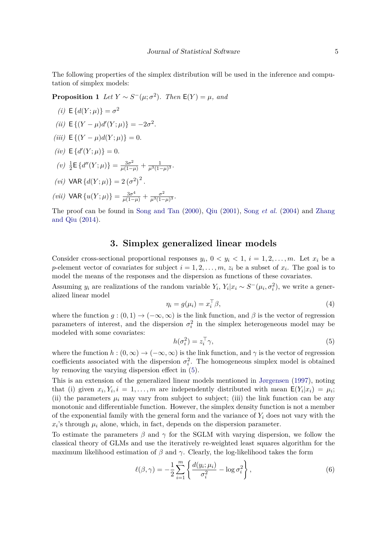<span id="page-4-2"></span>The following properties of the simplex distribution will be used in the inference and computation of simplex models:

**Proposition 1** *Let*  $Y \sim S^{-}(\mu; \sigma^2)$ *. Then*  $E(Y) = \mu$ *, and* 

(i) 
$$
E\{d(Y; \mu)\} = \sigma^2
$$
  
(ii)  $E\{(Y - \mu)d'(Y; \mu)\} = -2\sigma^2$ .

- $(iii)$  **E** $\{(Y \mu)d(Y;\mu)\} = 0.$
- $(iv) \mathsf{E} \{ d'(Y; \mu) \} = 0.$

(v) 
$$
\frac{1}{2} \mathsf{E} \{ d''(Y; \mu) \} = \frac{3\sigma^2}{\mu(1-\mu)} + \frac{1}{\mu^3(1-\mu)^3}.
$$

- (*vi*) VAR { $d(Y; \mu)$ } = 2 ( $\sigma^2$ )<sup>2</sup>.
- *(vii)* VAR  $\{u(Y; \mu)\} = \frac{3\sigma^4}{\mu(1-\mu)} + \frac{\sigma^2}{\mu^3(1-\mu)}$  $\frac{\sigma^2}{\mu^3(1-\mu)^3}$ .

The proof can be found in [Song and Tan](#page-19-4) [\(2000\)](#page-19-4), [Qiu](#page-19-8) [\(2001\)](#page-19-8), Song *[et al.](#page-19-5)* [\(2004\)](#page-19-5) and [Zhang](#page-19-3) [and Qiu](#page-19-3) [\(2014\)](#page-19-3).

## <span id="page-4-4"></span>**3. Simplex generalized linear models**

<span id="page-4-0"></span>Consider cross-sectional proportional responses  $y_i$ ,  $0 < y_i < 1$ ,  $i = 1, 2, ..., m$ . Let  $x_i$  be a *p*-element vector of covariates for subject  $i = 1, 2, \ldots, m$ ,  $z_i$  be a subset of  $x_i$ . The goal is to model the means of the responses and the dispersion as functions of these covariates.

Assuming  $y_i$  are realizations of the random variable  $Y_i$ ,  $Y_i | x_i \sim S^{-}(\mu_i, \sigma_i^2)$ , we write a generalized linear model

$$
\eta_i = g(\mu_i) = x_i^{\top} \beta,\tag{4}
$$

where the function  $g:(0,1) \to (-\infty,\infty)$  is the link function, and  $\beta$  is the vector of regression parameters of interest, and the dispersion  $\sigma_i^2$  in the simplex heterogeneous model may be modeled with some covariates:

<span id="page-4-3"></span><span id="page-4-1"></span>
$$
h(\sigma_i^2) = z_i^\top \gamma,\tag{5}
$$

where the function  $h : (0, \infty) \to (-\infty, \infty)$  is the link function, and  $\gamma$  is the vector of regression coefficients associated with the dispersion  $\sigma_i^2$ . The homogeneous simplex model is obtained by removing the varying dispersion effect in [\(5\)](#page-4-1).

This is an extension of the generalized linear models mentioned in [Jørgensen](#page-18-1) [\(1997\)](#page-18-1), noting that (i) given  $x_i, Y_i, i = 1, \ldots, m$  are independently distributed with mean  $E(Y_i|x_i) = \mu_i$ ; (ii) the parameters  $\mu_i$  may vary from subject to subject; (iii) the link function can be any monotonic and differentiable function. However, the simplex density function is not a member of the exponential family with the general form and the variance of *Y<sup>i</sup>* does not vary with the  $x_i$ 's through  $\mu_i$  alone, which, in fact, depends on the dispersion parameter.

To estimate the parameters *β* and *γ* for the SGLM with varying dispersion, we follow the classical theory of GLMs and use the iteratively re-weighted least squares algorithm for the maximum likelihood estimation of  $\beta$  and  $\gamma$ . Clearly, the log-likelihood takes the form

$$
\ell(\beta, \gamma) = -\frac{1}{2} \sum_{i=1}^{m} \left\{ \frac{d(y_i; \mu_i)}{\sigma_i^2} - \log \sigma_i^2 \right\},\tag{6}
$$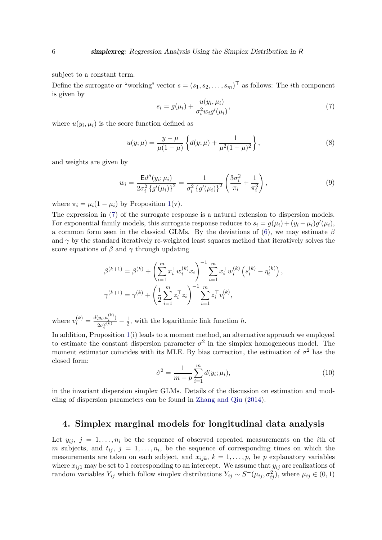subject to a constant term.

<span id="page-5-1"></span>Define the surrogate or "working" vector  $s = (s_1, s_2, \ldots, s_m)^\top$  as follows: The *i*th component is given by

<span id="page-5-2"></span>
$$
s_i = g(\mu_i) + \frac{u(y_i, \mu_i)}{\sigma_i^2 w_i g'(\mu_i)},
$$
\n(7)

where  $u(y_i, \mu_i)$  is the score function defined as

$$
u(y; \mu) = \frac{y - \mu}{\mu(1 - \mu)} \left\{ d(y; \mu) + \frac{1}{\mu^2 (1 - \mu)^2} \right\},\tag{8}
$$

and weights are given by

$$
w_i = \frac{\mathsf{E}d''(y_i; \mu_i)}{2\sigma_i^2 \left\{g'(\mu_i)\right\}^2} = \frac{1}{\sigma_i^2 \left\{g'(\mu_i)\right\}^2} \left(\frac{3\sigma_i^2}{\pi_i} + \frac{1}{\pi_i^3}\right),\tag{9}
$$

where  $\pi_i = \mu_i(1 - \mu_i)$  by Proposition [1\(](#page-4-2)v).

The expression in [\(7\)](#page-5-1) of the surrogate response is a natural extension to dispersion models. For exponential family models, this surrogate response reduces to  $s_i = g(\mu_i) + (y_i - \mu_i)g'(\mu_i)$ , a common form seen in the classical GLMs. By the deviations of [\(6\)](#page-4-3), we may estimate *β* and  $\gamma$  by the standard iteratively re-weighted least squares method that iteratively solves the score equations of  $\beta$  and  $\gamma$  through updating

$$
\beta^{(k+1)} = \beta^{(k)} + \left(\sum_{i=1}^{m} x_i^{\top} w_i^{(k)} x_i\right)^{-1} \sum_{i=1}^{m} x_i^{\top} w_i^{(k)} \left(s_i^{(k)} - \eta_i^{(k)}\right),
$$
  

$$
\gamma^{(k+1)} = \gamma^{(k)} + \left(\frac{1}{2} \sum_{i=1}^{m} z_i^{\top} z_i\right)^{-1} \sum_{i=1}^{m} z_i^{\top} v_i^{(k)},
$$

where  $v_i^{(k)} = \frac{d(y_i; \mu_i^{(k)})}{2\sigma^{2(k)}}$  $\frac{(y_i; \mu_i^{(i)})}{2\sigma_i^{2(k)}} - \frac{1}{2}$  $\frac{1}{2}$ , with the logarithmic link function *h*.

In addition, Proposition [1\(](#page-4-2)i) leads to a moment method, an alternative approach we employed to estimate the constant dispersion parameter  $\sigma^2$  in the simplex homogeneous model. The moment estimator coincides with its MLE. By bias correction, the estimation of  $\sigma^2$  has the closed form:

$$
\hat{\sigma}^2 = \frac{1}{m - p} \sum_{i=1}^{m} d(y_i; \mu_i), \qquad (10)
$$

in the invariant dispersion simplex GLMs. Details of the discussion on estimation and modeling of dispersion parameters can be found in [Zhang and Qiu](#page-19-3) [\(2014\)](#page-19-3).

## <span id="page-5-0"></span>**4. Simplex marginal models for longitudinal data analysis**

Let  $y_{ij}$ ,  $j = 1, \ldots, n_i$  be the sequence of observed repeated measurements on the *i*th of *m* subjects, and  $t_{ij}$ ,  $j = 1, \ldots, n_i$ , be the sequence of corresponding times on which the measurements are taken on each subject, and  $x_{ijk}$ ,  $k = 1, \ldots, p$ , be p explanatory variables where  $x_{ij1}$  may be set to 1 corresponding to an intercept. We assume that  $y_{ij}$  are realizations of random variables  $Y_{ij}$  which follow simplex distributions  $Y_{ij} \sim S^{-}(\mu_{ij}, \sigma_{ij}^2)$ , where  $\mu_{ij} \in (0, 1)$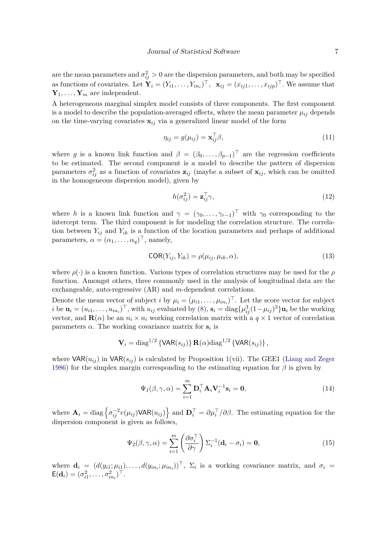are the mean parameters and  $\sigma_{ij}^2 > 0$  are the dispersion parameters, and both may be specified as functions of covariates. Let  $\mathbf{Y}_i = (Y_{i1}, \ldots, Y_{in_i})^\top$ ,  $\mathbf{x}_{ij} = (x_{ij1}, \ldots, x_{ijp})^\top$ . We assume that  $Y_1, \ldots, Y_m$  are independent.

A heterogeneous marginal simplex model consists of three components. The first component is a model to describe the population-averaged effects, where the mean parameter  $\mu_{ij}$  depends on the time-varying covariates  $\mathbf{x}_{ij}$  via a generalized linear model of the form

<span id="page-6-2"></span>
$$
\eta_{ij} = g(\mu_{ij}) = \mathbf{x}_{ij}^{\top} \boldsymbol{\beta},\tag{11}
$$

where *g* is a known link function and  $\beta = (\beta_0, \ldots, \beta_{p-1})^\top$  are the regression coefficients to be estimated. The second component is a model to describe the pattern of dispersion parameters  $\sigma_{ij}^2$  as a function of covariates  $z_{ij}$  (maybe a subset of  $x_{ij}$ , which can be omitted in the homogeneous dispersion model), given by

$$
h(\sigma_{ij}^2) = \mathbf{z}_{ij}^\top \gamma,\tag{12}
$$

where *h* is a known link function and  $\gamma = (\gamma_0, \ldots, \gamma_{r-1})^\top$  with  $\gamma_0$  corresponding to the intercept term. The third component is for modeling the correlation structure. The correlation between  $Y_{ij}$  and  $Y_{ik}$  is a function of the location parameters and perhaps of additional parameters,  $\alpha = (\alpha_1, \ldots, \alpha_q)^\top$ , namely,

$$
COR(Y_{ij}, Y_{ik}) = \rho(\mu_{ij}, \mu_{ik}, \alpha), \qquad (13)
$$

where  $\rho(\cdot)$  is a known function. Various types of correlation structures may be used for the  $\rho$ function. Amongst others, three commonly used in the analysis of longitudinal data are the exchangeable, auto-regressive (AR) and *m*-dependent correlations.

Denote the mean vector of subject *i* by  $\mu_i = (\mu_{i1}, \dots, \mu_{in_i})^\top$ . Let the score vector for subject *i* be  $\mathbf{u}_i = (u_{i1}, \dots, u_{in_i})^\top$ , with  $u_{ij}$  evaluated by [\(8\)](#page-5-2),  $\mathbf{s}_i = \text{diag}\{\mu_{ij}^3(1-\mu_{ij})^3\}\mathbf{u}_i$  be the working vector, and  $\mathbf{R}(\alpha)$  be an  $n_i \times n_i$  working correlation matrix with a  $q \times 1$  vector of correlation parameters  $\alpha$ . The working covariance matrix for  $s_i$  is

$$
\mathbf{V}_i = \text{diag}^{1/2} \left\{ \text{VAR}(s_{ij}) \right\} \mathbf{R}(\alpha) \text{diag}^{1/2} \left\{ \text{VAR}(s_{ij}) \right\},\
$$

where  $VAR(u_{ij})$  in  $VAR(s_{ij})$  is calculated by Proposition [1\(](#page-4-2)vii). The GEE1 [\(Liang and Zeger](#page-18-9) [1986\)](#page-18-9) for the simplex margin corresponding to the estimating equation for *β* is given by

<span id="page-6-1"></span><span id="page-6-0"></span>
$$
\Psi_1(\beta, \gamma, \alpha) = \sum_{i=1}^m \mathbf{D}_i^\top \mathbf{A}_i \mathbf{V}_i^{-1} \mathbf{s}_i = \mathbf{0},\tag{14}
$$

where  $\mathbf{A}_i = \text{diag}\left\{\sigma_{ij}^{-2}v(\mu_{ij})\textsf{VAR}(u_{ij})\right\}$  and  $\mathbf{D}_i^{\top} = \partial \mu_i^{\top}/\partial \beta$ . The estimating equation for the dispersion component is given as follows,

$$
\Psi_2(\beta, \gamma, \alpha) = \sum_{i=1}^m \left( \frac{\partial \sigma_i^{\top}}{\partial \gamma} \right) \Sigma_i^{-1} (\mathbf{d}_i - \sigma_i) = \mathbf{0},\tag{15}
$$

where  $\mathbf{d}_i = (d(y_{i1}; \mu_{i1}), \dots, d(y_{in_i}; \mu_{in_i}))^\top$ ,  $\Sigma_i$  is a working covariance matrix, and  $\sigma_i =$  $E(\mathbf{d}_i) = (\sigma_{i1}^2, \dots, \sigma_{in_i}^2)^\top.$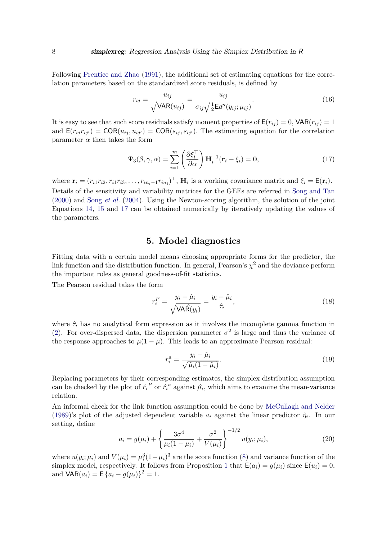Following [Prentice and Zhao](#page-18-10) [\(1991\)](#page-18-10), the additional set of estimating equations for the correlation parameters based on the standardized score residuals, is defined by

<span id="page-7-2"></span>
$$
r_{ij} = \frac{u_{ij}}{\sqrt{\text{VAR}(u_{ij})}} = \frac{u_{ij}}{\sigma_{ij}\sqrt{\frac{1}{2}\text{Ed}''(y_{ij}; \mu_{ij})}}.
$$
(16)

It is easy to see that such score residuals satisfy moment properties of  $E(r_{ij}) = 0$ , VAR $(r_{ij}) = 1$ and  $E(r_{ij}r_{ij}) = \text{COR}(u_{ij}, u_{ij}) = \text{COR}(s_{ij}, s_{ij})$ . The estimating equation for the correlation parameter  $\alpha$  then takes the form

<span id="page-7-1"></span>
$$
\Psi_3(\beta, \gamma, \alpha) = \sum_{i=1}^m \left( \frac{\partial \xi_i^{\top}}{\partial \alpha} \right) \mathbf{H}_i^{-1}(\mathbf{r}_i - \xi_i) = \mathbf{0},\tag{17}
$$

where  $\mathbf{r}_i = (r_{i1}r_{i2}, r_{i1}r_{i3}, \dots, r_{in_i-1}r_{in_i})^\top$ ,  $\mathbf{H}_i$  is a working covariance matrix and  $\xi_i = \mathsf{E}(\mathbf{r}_i)$ . Details of the sensitivity and variability matrices for the GEEs are referred in [Song and Tan](#page-19-4) [\(2000\)](#page-19-4) and Song *[et al.](#page-19-5)* [\(2004\)](#page-19-5). Using the Newton-scoring algorithm, the solution of the joint Equations [14,](#page-6-0) [15](#page-6-1) and [17](#page-7-1) can be obtained numerically by iteratively updating the values of the parameters.

## **5. Model diagnostics**

<span id="page-7-0"></span>Fitting data with a certain model means choosing appropriate forms for the predictor, the link function and the distribution function. In general, Pearson's  $\chi^2$  and the deviance perform the important roles as general goodness-of-fit statistics.

The Pearson residual takes the form

<span id="page-7-3"></span>
$$
r_i^P = \frac{y_i - \hat{\mu}_i}{\sqrt{\text{VAR}(y_i)}} = \frac{y_i - \hat{\mu}_i}{\hat{\tau}_i},\tag{18}
$$

where  $\hat{\tau}_i$  has no analytical form expression as it involves the incomplete gamma function in [\(2\)](#page-2-2). For over-dispersed data, the dispersion parameter  $\sigma^2$  is large and thus the variance of the response approaches to  $\mu(1-\mu)$ . This leads to an approximate Pearson residual:

<span id="page-7-4"></span>
$$
r_i^a = \frac{y_i - \hat{\mu}_i}{\sqrt{\hat{\mu}_i (1 - \hat{\mu}_i)}}.
$$
\n(19)

Replacing parameters by their corresponding estimates, the simplex distribution assumption can be checked by the plot of  $\hat{r_i}^P$  or  $\hat{r_i}^a$  against  $\hat{\mu_i}$ , which aims to examine the mean-variance relation.

An informal check for the link function assumption could be done by [McCullagh and Nelder](#page-18-0) [\(1989\)](#page-18-0)'s plot of the adjusted dependent variable  $a_i$  against the linear predictor  $\hat{\eta}_i$ . In our setting, define

<span id="page-7-5"></span>
$$
a_i = g(\mu_i) + \left\{ \frac{3\sigma^4}{\mu_i (1 - \mu_i)} + \frac{\sigma^2}{V(\mu_i)} \right\}^{-1/2} u(y_i; \mu_i), \tag{20}
$$

where  $u(y_i; \mu_i)$  and  $V(\mu_i) = \mu_i^3 (1 - \mu_i)^3$  are the score function [\(8\)](#page-5-2) and variance function of the simplex model, respectively. It follows from Proposition [1](#page-4-2) that  $E(a_i) = g(\mu_i)$  since  $E(u_i) = 0$ , and  $\text{VAR}(a_i) = \text{E} \{a_i - g(\mu_i)\}^2 = 1.$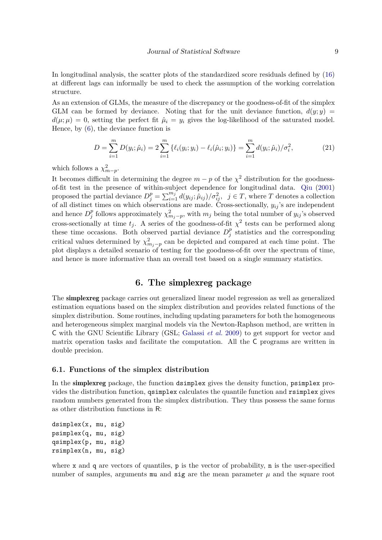In longitudinal analysis, the scatter plots of the standardized score residuals defined by [\(16\)](#page-7-2) at different lags can informally be used to check the assumption of the working correlation structure.

As an extension of GLMs, the measure of the discrepancy or the goodness-of-fit of the simplex GLM can be formed by deviance. Noting that for the unit deviance function,  $d(y; y) =$  $d(\mu;\mu) = 0$ , setting the perfect fit  $\hat{\mu}_i = y_i$  gives the log-likelihood of the saturated model. Hence, by [\(6\)](#page-4-3), the deviance function is

$$
D = \sum_{i=1}^{m} D(y_i; \hat{\mu}_i) = 2 \sum_{i=1}^{m} \{ \ell_i(y_i; y_i) - \ell_i(\hat{\mu}_i; y_i) \} = \sum_{i=1}^{m} d(y_i; \hat{\mu}_i) / \sigma_i^2,
$$
 (21)

which follows a  $\chi^2_{m-p}$ .

It becomes difficult in determining the degree  $m - p$  of the  $\chi^2$  distribution for the goodnessof-fit test in the presence of within-subject dependence for longitudinal data. [Qiu](#page-19-8) [\(2001\)](#page-19-8) proposed the partial deviance  $D_j^p = \sum_{i=1}^{m_j} d(y_{ij}; \hat{\mu}_{ij}) / \sigma_{ij}^2$ ,  $j \in T$ , where *T* denotes a collection of all distinct times on which observations are made. Cross-sectionally, *yij* 's are independent and hence  $D_i^p$ <sup>*p*</sup></sup> follows approximately  $\chi^2_{m_j-p}$ , with  $m_j$  being the total number of  $y_{ij}$ 's observed cross-sectionally at time  $t_j$ . A series of the goodness-of-fit  $\chi^2$  tests can be performed along these time occasions. Both observed partial deviance  $D_i^p$  $j$ <sup>*p*</sup> statistics and the corresponding critical values determined by  $\chi^2_{m_j-p}$  can be depicted and compared at each time point. The plot displays a detailed scenario of testing for the goodness-of-fit over the spectrum of time, and hence is more informative than an overall test based on a single summary statistics.

## **6. The** simplexreg **package**

<span id="page-8-0"></span>The simplexreg package carries out generalized linear model regression as well as generalized estimation equations based on the simplex distribution and provides related functions of the simplex distribution. Some routines, including updating parameters for both the homogeneous and heterogeneous simplex marginal models via the Newton-Raphson method, are written in C with the GNU Scientific Library (GSL; [Galassi](#page-18-11) *et al.* [2009\)](#page-18-11) to get support for vector and matrix operation tasks and facilitate the computation. All the C programs are written in double precision.

#### **6.1. Functions of the simplex distribution**

In the simplexreg package, the function dsimplex gives the density function, psimplex provides the distribution function, qsimplex calculates the quantile function and rsimplex gives random numbers generated from the simplex distribution. They thus possess the same forms as other distribution functions in R:

```
dsimplex(x, mu, sig)
psimplex(q, mu, sig)
qsimplex(p, mu, sig)
rsimplex(n, mu, sig)
```
where x and q are vectors of quantiles,  $p$  is the vector of probability,  $n$  is the user-specified number of samples, arguments **mu** and  $sig$  are the mean parameter  $\mu$  and the square root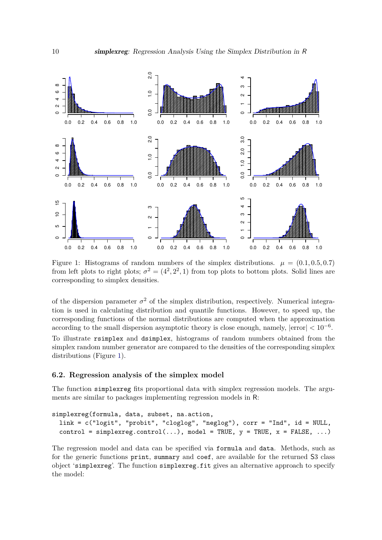

<span id="page-9-0"></span>Figure 1: Histograms of random numbers of the simplex distributions.  $\mu = (0.1, 0.5, 0.7)$ from left plots to right plots;  $\sigma^2 = (4^2, 2^2, 1)$  from top plots to bottom plots. Solid lines are corresponding to simplex densities.

of the dispersion parameter  $\sigma^2$  of the simplex distribution, respectively. Numerical integration is used in calculating distribution and quantile functions. However, to speed up, the corresponding functions of the normal distributions are computed when the approximation according to the small dispersion asymptotic theory is close enough, namely, |error| *<* 10−<sup>6</sup> .

To illustrate rsimplex and dsimplex, histograms of random numbers obtained from the simplex random number generator are compared to the densities of the corresponding simplex distributions (Figure [1\)](#page-9-0).

#### **6.2. Regression analysis of the simplex model**

The function simplexreg fits proportional data with simplex regression models. The arguments are similar to packages implementing regression models in R:

```
simplexreg(formula, data, subset, na.action,
 link = c("logit", "probit", "cloglog", "neglog"), corr = "Ind", id = NULL,
 control = simplexreg.control(...), model = TRUE, y = TRUE, x = FALSE, ...)
```
The regression model and data can be specified via formula and data. Methods, such as for the generic functions print, summary and coef, are available for the returned S3 class object 'simplexreg'. The function simplexreg.fit gives an alternative approach to specify the model: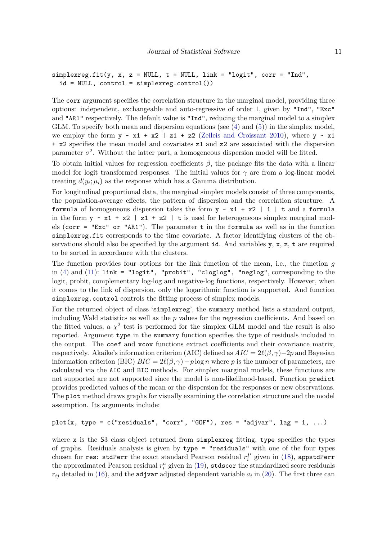```
simplexreg.fit(y, x, z = NULL, t = NULL, link = "logit", corr = "Ind",id = NULL, control = simplexreg.control())
```
The corr argument specifies the correlation structure in the marginal model, providing three options: independent, exchangeable and auto-regressive of order 1, given by "Ind", "Exc" and "AR1" respectively. The default value is "Ind", reducing the marginal model to a simplex GLM. To specify both mean and dispersion equations (see [\(4\)](#page-4-4) and [\(5\)](#page-4-1)) in the simplex model, we employ the form  $y \sim x1 + x2$  | z1 + z2 [\(Zeileis and Croissant](#page-19-9) [2010\)](#page-19-9), where  $y \sim x1$ + x2 specifies the mean model and covariates z1 and z2 are associated with the dispersion parameter  $\sigma^2$ . Without the latter part, a homogeneous dispersion model will be fitted.

To obtain initial values for regression coefficients *β*, the package fits the data with a linear model for logit transformed responses. The initial values for  $\gamma$  are from a log-linear model treating  $d(y_i; \mu_i)$  as the response which has a Gamma distribution.

For longitudinal proportional data, the marginal simplex models consist of three components, the population-average effects, the pattern of dispersion and the correlation structure. A formula of homogeneous dispersion takes the form  $y \sim x1 + x2$  | 1 | t and a formula in the form  $y \sim x1 + x2$  |  $z1 + z2$  | t is used for heterogeneous simplex marginal models (corr = "Exc" or "AR1"). The parameter  $t$  in the formula as well as in the function simplexreg.fit corresponds to the time covariate. A factor identifying clusters of the observations should also be specified by the argument id. And variables  $y, x, z, t$  are required to be sorted in accordance with the clusters.

The function provides four options for the link function of the mean, i.e., the function *g* in  $(4)$  and  $(11)$ : link = "logit", "probit", "cloglog", "neglog", corresponding to the logit, probit, complementary log-log and negative-log functions, respectively. However, when it comes to the link of dispersion, only the logarithmic function is supported. And function simplexreg.control controls the fitting process of simplex models.

For the returned object of class 'simplexreg', the summary method lists a standard output, including Wald statistics as well as the *p* values for the regression coefficients. And based on the fitted values, a  $\chi^2$  test is performed for the simplex GLM model and the result is also reported. Argument type in the summary function specifies the type of residuals included in the output. The coef and vcov functions extract coefficients and their covariance matrix, respectively. Akaike's information criterion (AIC) defined as  $AIC = 2\ell(\beta, \gamma) - 2p$  and Bayesian information criterion (BIC)  $BIC = 2\ell(\beta, \gamma) - p \log n$  where *p* is the number of parameters, are calculated via the AIC and BIC methods. For simplex marginal models, these functions are not supported are not supported since the model is non-likelihood-based. Function predict provides predicted values of the mean or the dispersion for the responses or new observations. The plot method draws graphs for visually examining the correlation structure and the model assumption. Its arguments include:

```
plot(x, type = c("residuals", "corr", "GOF"), res = "adjvar", lag = 1, ...)
```
where  $x$  is the S3 class object returned from simplexreg fitting, type specifies the types of graphs. Residuals analysis is given by type = "residuals" with one of the four types chosen for res: stdPerr the exact standard Pearson residual  $r_i^P$  given in [\(18\)](#page-7-3), appstdPerr the approximated Pearson residual  $r_i^a$  given in [\(19\)](#page-7-4), stdscor the standardized score residuals  $r_{ij}$  detailed in [\(16\)](#page-7-2), and the adjvar adjusted dependent variable  $a_i$  in [\(20\)](#page-7-5). The first three can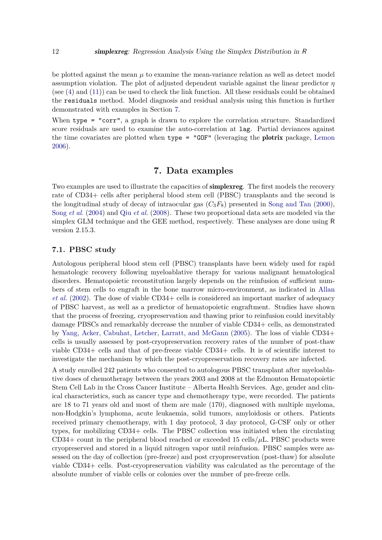be plotted against the mean  $\mu$  to examine the mean-variance relation as well as detect model assumption violation. The plot of adjusted dependent variable against the linear predictor *η* (see [\(4\)](#page-4-4) and [\(11\)](#page-6-2)) can be used to check the link function. All these residuals could be obtained the residuals method. Model diagnosis and residual analysis using this function is further demonstrated with examples in Section [7.](#page-11-0)

When type = "corr", a graph is drawn to explore the correlation structure. Standardized score residuals are used to examine the auto-correlation at lag. Partial deviances against the time covariates are plotted when  $type = "GOF"$  (leveraging the **plotrix** package, [Lemon](#page-18-12) [2006\)](#page-18-12).

## **7. Data examples**

<span id="page-11-0"></span>Two examples are used to illustrate the capacities of simplexreg. The first models the recovery rate of CD34+ cells after peripheral blood stem cell (PBSC) transplants and the second is the longitudinal study of decay of intraocular gas  $(C_3F_8)$  presented in [Song and Tan](#page-19-4) [\(2000\)](#page-19-4), Song *[et al.](#page-19-5)* [\(2004\)](#page-19-5) and Qiu *[et al.](#page-19-6)* [\(2008\)](#page-19-6). These two proportional data sets are modeled via the simplex GLM technique and the GEE method, respectively. These analyses are done using R version 2.15.3.

#### **7.1. PBSC study**

Autologous peripheral blood stem cell (PBSC) transplants have been widely used for rapid hematologic recovery following myeloablative therapy for various malignant hematological disorders. Hematopoietic reconstitution largely depends on the reinfusion of sufficient numbers of stem cells to engraft in the bone marrow micro-environment, as indicated in [Allan](#page-18-13) *[et al.](#page-18-13)* [\(2002\)](#page-18-13). The dose of viable CD34+ cells is considered an important marker of adequacy of PBSC harvest, as well as a predictor of hematopoietic engraftment. Studies have shown that the process of freezing, cryopreservation and thawing prior to reinfusion could inevitably damage PBSCs and remarkably decrease the number of viable CD34+ cells, as demonstrated by [Yang, Acker, Cabuhat, Letcher, Larratt, and McGann](#page-19-10) [\(2005\)](#page-19-10). The loss of viable CD34+ cells is usually assessed by post-cryopreservation recovery rates of the number of post-thaw viable CD34+ cells and that of pre-freeze viable CD34+ cells. It is of scientific interest to investigate the mechanism by which the post-cryopreservation recovery rates are infected.

A study enrolled 242 patients who consented to autologous PBSC transplant after myeloablative doses of chemotherapy between the years 2003 and 2008 at the Edmonton Hematopoietic Stem Cell Lab in the Cross Cancer Institute – Alberta Health Services. Age, gender and clinical characteristics, such as cancer type and chemotherapy type, were recorded. The patients are 18 to 71 years old and most of them are male (170), diagnosed with multiple myeloma, non-Hodgkin's lymphoma, acute leukaemia, solid tumors, amyloidosis or others. Patients received primary chemotherapy, with 1 day protocol, 3 day protocol, G-CSF only or other types, for mobilizing CD34+ cells. The PBSC collection was initiated when the circulating CD34+ count in the peripheral blood reached or exceeded 15 cells/*µ*L. PBSC products were cryopreserved and stored in a liquid nitrogen vapor until reinfusion. PBSC samples were assessed on the day of collection (pre-freeze) and post cryopreservation (post-thaw) for absolute viable CD34+ cells. Post-cryopreservation viability was calculated as the percentage of the absolute number of viable cells or colonies over the number of pre-freeze cells.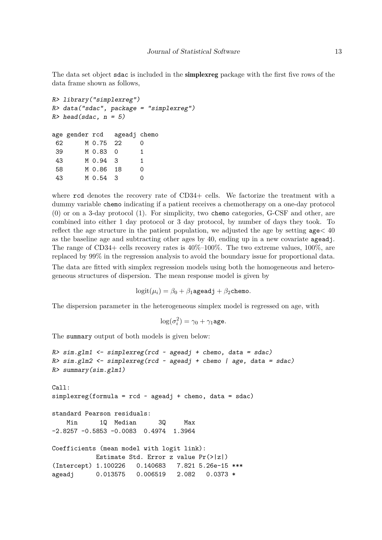The data set object sdac is included in the simplexreg package with the first five rows of the data frame shown as follows,

```
R> library("simplexreg")
R> data("sdac", package = "simplexreg")
R > head(sdac, n = 5)age gender rcd ageadj chemo
62 M 0.75 22 0
39 M 0.83 0 1
43 M 0.94 3 1
58 M 0.86 18 0
43 M 0.54 3 0
```
where rcd denotes the recovery rate of CD34+ cells. We factorize the treatment with a dummy variable chemo indicating if a patient receives a chemotherapy on a one-day protocol (0) or on a 3-day protocol (1). For simplicity, two chemo categories, G-CSF and other, are combined into either 1 day protocol or 3 day protocol, by number of days they took. To reflect the age structure in the patient population, we adjusted the age by setting age*<* 40 as the baseline age and subtracting other ages by 40, ending up in a new covariate ageadj. The range of CD34+ cells recovery rates is  $40\%$ -100%. The two extreme values, 100%, are replaced by 99% in the regression analysis to avoid the boundary issue for proportional data.

The data are fitted with simplex regression models using both the homogeneous and heterogeneous structures of dispersion. The mean response model is given by

 $logit(\mu_i) = \beta_0 + \beta_1$ ageadj +  $\beta_2$ chemo.

The dispersion parameter in the heterogeneous simplex model is regressed on age, with

$$
\log(\sigma_i^2) = \gamma_0 + \gamma_1 \text{age}.
$$

The summary output of both models is given below:

```
R > sim.g1m1 \leftarrow simplexreg(rcd \sim ageadj + chemo, data = sdac)R> sim.glm2 <- simplexreg(rcd ~ ageadj + chemo | age, data = sdac)
R> summary(sim.glm1)
Ca11:simplexreg(formula = rcd \sim ageadj + chemo, data = sdac)
standard Pearson residuals:
   Min 1Q Median 3Q Max
-2.8257 -0.5853 -0.0083 0.4974 1.3964
Coefficients (mean model with logit link):
           Estimate Std. Error z value Pr(>|z|)
(Intercept) 1.100226 0.140683 7.821 5.26e-15 ***
ageadj 0.013575 0.006519 2.082 0.0373 *
```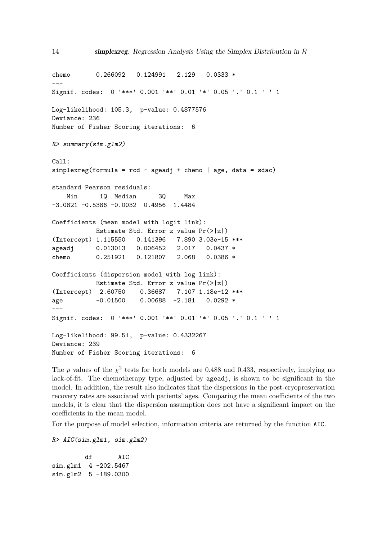chemo 0.266092 0.124991 2.129 0.0333 \* --- Signif. codes: 0 '\*\*\*' 0.001 '\*\*' 0.01 '\*' 0.05 '.' 0.1 ' ' 1 Log-likelihood: 105.3, p-value: 0.4877576 Deviance: 236 Number of Fisher Scoring iterations: 6 R> summary(sim.glm2) Call: simplexreg(formula =  $rcd$   $\sim$  ageadj + chemo | age, data = sdac) standard Pearson residuals: Min 1Q Median 3Q Max -3.0821 -0.5386 -0.0032 0.4956 1.4484 Coefficients (mean model with logit link): Estimate Std. Error z value Pr(>|z|) (Intercept) 1.115550 0.141396 7.890 3.03e-15 \*\*\* ageadj 0.013013 0.006452 2.017 0.0437 \* chemo 0.251921 0.121807 2.068 0.0386 \* Coefficients (dispersion model with log link): Estimate Std. Error z value Pr(>|z|) (Intercept) 2.60750 0.36687 7.107 1.18e-12 \*\*\* age  $-0.01500$  0.00688 -2.181 0.0292 \* --- Signif. codes: 0 '\*\*\*' 0.001 '\*\*' 0.01 '\*' 0.05 '.' 0.1 ' ' 1 Log-likelihood: 99.51, p-value: 0.4332267 Deviance: 239 Number of Fisher Scoring iterations: 6

The *p* values of the  $\chi^2$  tests for both models are 0.488 and 0.433, respectively, implying no lack-of-fit. The chemotherapy type, adjusted by ageadj, is shown to be significant in the model. In addition, the result also indicates that the dispersions in the post-cryopreservation recovery rates are associated with patients' ages. Comparing the mean coefficients of the two models, it is clear that the dispersion assumption does not have a significant impact on the coefficients in the mean model.

For the purpose of model selection, information criteria are returned by the function AIC.

R> AIC(sim.glm1, sim.glm2)

df AIC sim.glm1 4 -202.5467 sim.glm2 5 -189.0300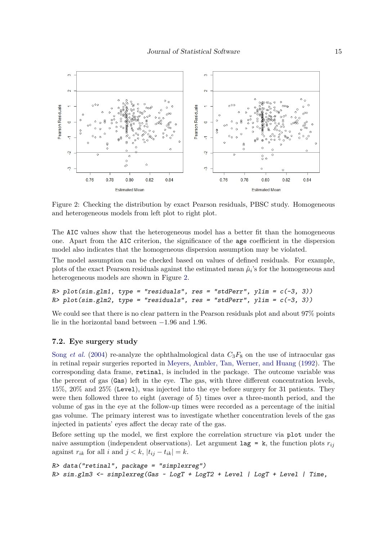

<span id="page-14-0"></span>Figure 2: Checking the distribution by exact Pearson residuals, PBSC study. Homogeneous and heterogeneous models from left plot to right plot.

The AIC values show that the heterogeneous model has a better fit than the homogeneous one. Apart from the AIC criterion, the significance of the age coefficient in the dispersion model also indicates that the homogeneous dispersion assumption may be violated.

The model assumption can be checked based on values of defined residuals. For example, plots of the exact Pearson residuals against the estimated mean  $\hat{\mu}_i$ 's for the homogeneous and heterogeneous models are shown in Figure [2.](#page-14-0)

```
R> plot(sim.glm1, type = "residuals", res = "stdPerr", ylim = c(-3, 3))
R> plot(sim.glm2, type = "residuals", res = "stdPerr", ylim = c(-3, 3))
```
We could see that there is no clear pattern in the Pearson residuals plot and about  $97\%$  points lie in the horizontal band between −1*.*96 and 1*.*96.

#### **7.2. Eye surgery study**

Song *[et al.](#page-19-5)* [\(2004\)](#page-19-5) re-analyze the ophthalmological data  $C_3F_8$  on the use of intraocular gas in retinal repair surgeries reported in [Meyers, Ambler, Tan, Werner, and Huang](#page-18-14) [\(1992\)](#page-18-14). The corresponding data frame, retinal, is included in the package. The outcome variable was the percent of gas (Gas) left in the eye. The gas, with three different concentration levels, 15%, 20% and 25% (Level), was injected into the eye before surgery for 31 patients. They were then followed three to eight (average of 5) times over a three-month period, and the volume of gas in the eye at the follow-up times were recorded as a percentage of the initial gas volume. The primary interest was to investigate whether concentration levels of the gas injected in patients' eyes affect the decay rate of the gas.

Before setting up the model, we first explore the correlation structure via plot under the naive assumption (independent observations). Let argument  $\text{lag} = \text{k}$ , the function plots  $r_{ij}$ against  $r_{ik}$  for all *i* and  $j < k$ ,  $|t_{ij} - t_{ik}| = k$ .

```
R> data("retinal", package = "simplexreg")
R> sim.glm3 <- simplexreg(Gas ~ LogT + LogT2 + Level | LogT + Level | Time,
```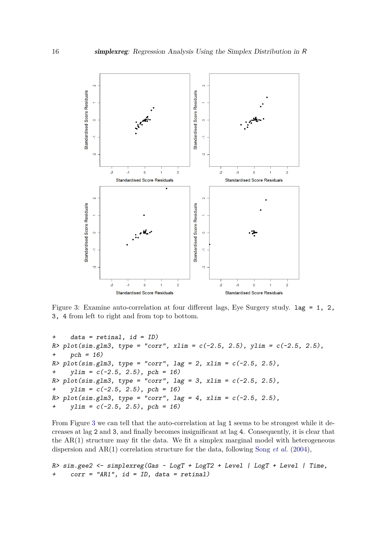

<span id="page-15-0"></span>Figure 3: Examine auto-correlation at four different lags, Eye Surgery study. lag = 1, 2, 3, 4 from left to right and from top to bottom.

```
+ data = retinal, id = ID)
R> plot(sim.glm3, type = "corr", xlim = c(-2.5, 2.5), ylim = c(-2.5, 2.5),
+ pch = 16)
R> plot(sim.glm3, type = "corr", lag = 2, xlim = c(-2.5, 2.5),
+ ylim = c(-2.5, 2.5), pch = 16)
R> plot(sim.glm3, type = "corr", lag = 3, xlim = c(-2.5, 2.5),
+ ylim = c(-2.5, 2.5), pch = 16)
R > plot(sim.glm3, type = "corr", lag = 4, xlim = c(-2.5, 2.5),
+ ylim = c(-2.5, 2.5), pch = 16)
```
From Figure [3](#page-15-0) we can tell that the auto-correlation at lag 1 seems to be strongest while it decreases at lag 2 and 3, and finally becomes insignificant at lag 4. Consequently, it is clear that the  $AR(1)$  structure may fit the data. We fit a simplex marginal model with heterogeneous dispersion and AR(1) correlation structure for the data, following Song *[et al.](#page-19-5)* [\(2004\)](#page-19-5),

R> sim.gee2 <- simplexreg(Gas ~ LogT + LogT2 + Level | LogT + Level | Time,  $corr = "ARI", id = ID, data = retinal)$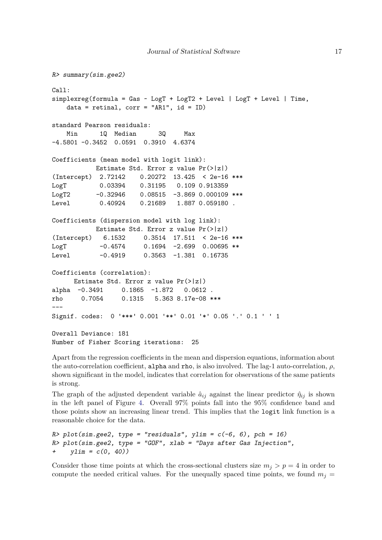```
R> summary(sim.gee2)
Call:
simplexreg(formula = Gas ~ LogT + LogT2 + Level ~ | LogT + Level ~ | Time,data = retinal, corr = "AR1", id = ID)
standard Pearson residuals:
   Min 1Q Median 3Q Max
-4.5801 -0.3452 0.0591 0.3910 4.6374
Coefficients (mean model with logit link):
          Estimate Std. Error z value Pr(>|z|)
(Intercept) 2.72142 0.20272 13.425 < 2e-16 ***
LogT 0.03394 0.31195 0.109 0.913359
LogT2 -0.32946 0.08515 -3.869 0.000109 ***
Level 0.40924 0.21689 1.887 0.059180 .
Coefficients (dispersion model with log link):
          Estimate Std. Error z value Pr(>|z|)
(Intercept) 6.1532 0.3514 17.511 < 2e-16 ***
LogT -0.4574 0.1694 -2.699 0.00695 **
Level -0.4919 0.3563 -1.381 0.16735
Coefficients (correlation):
     Estimate Std. Error z value Pr(>|z|)
alpha -0.3491 0.1865 -1.872 0.0612 .
rho 0.7054 0.1315 5.363 8.17e-08 ***
---
Signif. codes: 0 '***' 0.001 '**' 0.01 '*' 0.05 '.' 0.1 ' ' 1
Overall Deviance: 181
Number of Fisher Scoring iterations: 25
```
Apart from the regression coefficients in the mean and dispersion equations, information about the auto-correlation coefficient, alpha and rho, is also involved. The lag-1 auto-correlation,  $\rho$ , shown significant in the model, indicates that correlation for observations of the same patients is strong.

The graph of the adjusted dependent variable  $\hat{a}_{ij}$  against the linear predictor  $\hat{\eta}_{ij}$  is shown in the left panel of Figure [4.](#page-17-1) Overall 97% points fall into the 95% confidence band and those points show an increasing linear trend. This implies that the logit link function is a reasonable choice for the data.

```
R> plot(sim.gee2, type = "residuals", ylim = c(-6, 6), pch = 16)
R> plot(sim.gee2, type = "GOF", xlab = "Days after Gas Injection",
+ ylim = c(0, 40)
```
Consider those time points at which the cross-sectional clusters size  $m_j > p = 4$  in order to compute the needed critical values. For the unequally spaced time points, we found  $m<sub>j</sub>$  =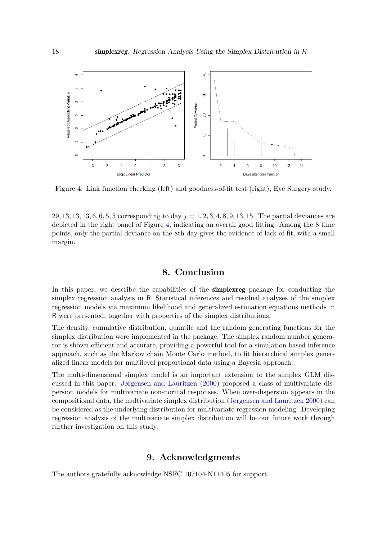

<span id="page-17-1"></span>Figure 4: Link function checking (left) and goodness-of-fit test (right), Eye Surgery study.

29*,* 13*,* 13*,* 13*,* 6*,* 6*,* 5*,* 5 corresponding to day *j* = 1*,* 2*,* 3*,* 4*,* 8*,* 9*,* 13*,* 15. The partial deviances are depicted in the right panel of Figure [4,](#page-17-1) indicating an overall good fitting. Among the 8 time points, only the partial deviance on the 8th day gives the evidence of lack of fit, with a small margin.

## **8. Conclusion**

<span id="page-17-0"></span>In this paper, we describe the capabilities of the **simplexreg** package for conducting the simplex regression analysis in R. Statistical inferences and residual analyses of the simplex regression models via maximum likelihood and generalized estimation equations methods in R were presented, together with properties of the simplex distributions.

The density, cumulative distribution, quantile and the random generating functions for the simplex distribution were implemented in the package. The simplex random number generator is shown efficient and accurate, providing a powerful tool for a simulation based inference approach, such as the Markov chain Monte Carlo method, to fit hierarchical simplex generalized linear models for multilevel proportional data using a Bayesia approach.

The multi-dimensional simplex model is an important extension to the simplex GLM discussed in this paper. [Jørgensen and Lauritzen](#page-18-15) [\(2000\)](#page-18-15) proposed a class of multivariate dispersion models for multivariate non-normal responses. When over-dispersion appears in the compositional data, the multivariate simplex distribution [\(Jørgensen and Lauritzen](#page-18-15) [2000\)](#page-18-15) can be considered as the underlying distribution for multivariate regression modeling. Developing regression analysis of the multivariate simplex distribution will be our future work through further investigation on this study.

## **9. Acknowledgments**

The authors gratefully acknowledge NSFC 107104-N11405 for support.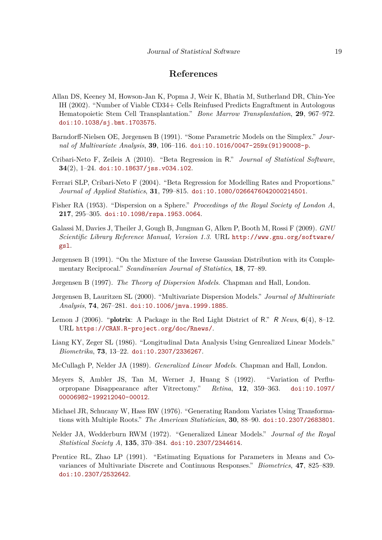## **References**

- <span id="page-18-13"></span>Allan DS, Keeney M, Howson-Jan K, Popma J, Weir K, Bhatia M, Sutherland DR, Chin-Yee IH (2002). "Number of Viable CD34+ Cells Reinfused Predicts Engraftment in Autologous Hematopoietic Stem Cell Transplantation." *Bone Marrow Transplantation*, **29**, 967–972. [doi:10.1038/sj.bmt.1703575](http://dx.doi.org/10.1038/sj.bmt.1703575).
- <span id="page-18-6"></span>Barndorff-Nielsen OE, Jørgensen B (1991). "Some Parametric Models on the Simplex." *Journal of Multivariate Analysis*, **39**, 106–116. [doi:10.1016/0047-259x\(91\)90008-p](http://dx.doi.org/10.1016/0047-259x(91)90008-p).
- <span id="page-18-5"></span>Cribari-Neto F, Zeileis A (2010). "Beta Regression in R." *Journal of Statistical Software*, **34**(2), 1–24. [doi:10.18637/jss.v034.i02](http://dx.doi.org/10.18637/jss.v034.i02).
- <span id="page-18-4"></span>Ferrari SLP, Cribari-Neto F (2004). "Beta Regression for Modelling Rates and Proportions." *Journal of Applied Statistics*, **31**, 799–815. [doi:10.1080/0266476042000214501](http://dx.doi.org/10.1080/0266476042000214501).
- <span id="page-18-2"></span>Fisher RA (1953). "Dispersion on a Sphere." *Proceedings of the Royal Society of London A*, **217**, 295–305. [doi:10.1098/rspa.1953.0064](http://dx.doi.org/10.1098/rspa.1953.0064).
- <span id="page-18-11"></span>Galassi M, Davies J, Theiler J, Gough B, Jungman G, Alken P, Booth M, Rossi F (2009). *GNU Scientific Library Reference Manual, Version 1.3*. URL [http://www.gnu.org/software/](http://www.gnu.org/software/gsl) [gsl](http://www.gnu.org/software/gsl).
- <span id="page-18-7"></span>Jørgensen B (1991). "On the Mixture of the Inverse Gaussian Distribution with its Complementary Reciprocal." *Scandinavian Journal of Statistics*, **18**, 77–89.
- <span id="page-18-1"></span>Jørgensen B (1997). *The Theory of Dispersion Models*. Chapman and Hall, London.
- <span id="page-18-15"></span>Jørgensen B, Lauritzen SL (2000). "Multivariate Dispersion Models." *Journal of Multivariate Analysis*, **74**, 267–281. [doi:10.1006/jmva.1999.1885](http://dx.doi.org/10.1006/jmva.1999.1885).
- <span id="page-18-12"></span>Lemon J (2006). "plotrix: A Package in the Red Light District of R." R *News*, **6**(4), 8–12. URL <https://CRAN.R-project.org/doc/Rnews/>.
- <span id="page-18-9"></span>Liang KY, Zeger SL (1986). "Longitudinal Data Analysis Using Genrealized Linear Models." *Biometrika*, **73**, 13–22. [doi:10.2307/2336267](http://dx.doi.org/10.2307/2336267).
- <span id="page-18-0"></span>McCullagh P, Nelder JA (1989). *Generalized Linear Models*. Chapman and Hall, London.
- <span id="page-18-14"></span>Meyers S, Ambler JS, Tan M, Werner J, Huang S (1992). "Variation of Perfluorpropane Disappearance after Vitrectomy." *Retina*, **12**, 359–363. [doi:10.1097/](http://dx.doi.org/10.1097/00006982-199212040-00012) [00006982-199212040-00012](http://dx.doi.org/10.1097/00006982-199212040-00012).
- <span id="page-18-8"></span>Michael JR, Schucany W, Hass RW (1976). "Generating Random Variates Using Transformations with Multiple Roots." *The American Statistician*, **30**, 88–90. [doi:10.2307/2683801](http://dx.doi.org/10.2307/2683801).
- <span id="page-18-3"></span>Nelder JA, Wedderburn RWM (1972). "Generalized Linear Models." *Journal of the Royal Statistical Society A*, **135**, 370–384. [doi:10.2307/2344614](http://dx.doi.org/10.2307/2344614).
- <span id="page-18-10"></span>Prentice RL, Zhao LP (1991). "Estimating Equations for Parameters in Means and Covariances of Multivariate Discrete and Continuous Responses." *Biometrics*, **47**, 825–839. [doi:10.2307/2532642](http://dx.doi.org/10.2307/2532642).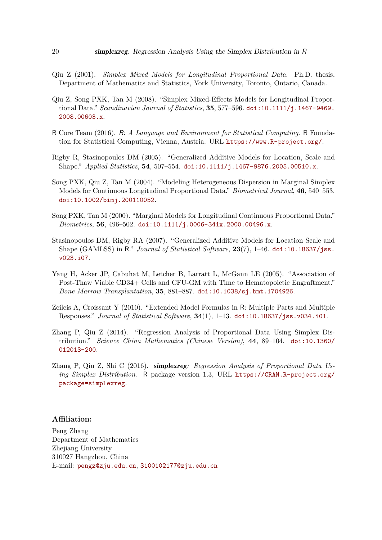- <span id="page-19-8"></span>Qiu Z (2001). *Simplex Mixed Models for Longitudinal Proportional Data*. Ph.D. thesis, Department of Mathematics and Statistics, York University, Toronto, Ontario, Canada.
- <span id="page-19-6"></span>Qiu Z, Song PXK, Tan M (2008). "Simplex Mixed-Effects Models for Longitudinal Proportional Data." *Scandinavian Journal of Statistics*, **35**, 577–596. [doi:10.1111/j.1467-9469.](http://dx.doi.org/10.1111/j.1467-9469.2008.00603.x) [2008.00603.x](http://dx.doi.org/10.1111/j.1467-9469.2008.00603.x).
- <span id="page-19-0"></span>R Core Team (2016). R*: A Language and Environment for Statistical Computing*. R Foundation for Statistical Computing, Vienna, Austria. URL <https://www.R-project.org/>.
- <span id="page-19-1"></span>Rigby R, Stasinopoulos DM (2005). "Generalized Additive Models for Location, Scale and Shape." *Applied Statistics*, **54**, 507–554. [doi:10.1111/j.1467-9876.2005.00510.x](http://dx.doi.org/10.1111/j.1467-9876.2005.00510.x).
- <span id="page-19-5"></span>Song PXK, Qiu Z, Tan M (2004). "Modeling Heterogeneous Dispersion in Marginal Simplex Models for Continuous Longitudinal Proportional Data." *Biometrical Journal*, **46**, 540–553. [doi:10.1002/bimj.200110052](http://dx.doi.org/10.1002/bimj.200110052).
- <span id="page-19-4"></span>Song PXK, Tan M (2000). "Marginal Models for Longitudinal Continuous Proportional Data." *Biometrics*, **56**, 496–502. [doi:10.1111/j.0006-341x.2000.00496.x](http://dx.doi.org/10.1111/j.0006-341x.2000.00496.x).
- <span id="page-19-2"></span>Stasinopoulos DM, Rigby RA (2007). "Generalized Additive Models for Location Scale and Shape (GAMLSS) in R." *Journal of Statistical Software*, **23**(7), 1–46. [doi:10.18637/jss.](http://dx.doi.org/10.18637/jss.v023.i07) [v023.i07](http://dx.doi.org/10.18637/jss.v023.i07).
- <span id="page-19-10"></span>Yang H, Acker JP, Cabuhat M, Letcher B, Larratt L, McGann LE (2005). "Association of Post-Thaw Viable CD34+ Cells and CFU-GM with Time to Hematopoietic Engraftment." *Bone Marrow Transplantation*, **35**, 881–887. [doi:10.1038/sj.bmt.1704926](http://dx.doi.org/10.1038/sj.bmt.1704926).
- <span id="page-19-9"></span>Zeileis A, Croissant Y (2010). "Extended Model Formulas in R: Multiple Parts and Multiple Responses." *Journal of Statistical Software*, **34**(1), 1–13. [doi:10.18637/jss.v034.i01](http://dx.doi.org/10.18637/jss.v034.i01).
- <span id="page-19-3"></span>Zhang P, Qiu Z (2014). "Regression Analysis of Proportional Data Using Simplex Distribution." *Science China Mathematics (Chinese Version)*, **44**, 89–104. [doi:10.1360/](http://dx.doi.org/10.1360/012013-200) [012013-200](http://dx.doi.org/10.1360/012013-200).
- <span id="page-19-7"></span>Zhang P, Qiu Z, Shi C (2016). simplexreg*: Regression Analysis of Proportional Data Using Simplex Distribution*. R package version 1.3, URL [https://CRAN.R-project.org/](https://CRAN.R-project.org/package=simplexreg) [package=simplexreg](https://CRAN.R-project.org/package=simplexreg).

#### **Affiliation:**

Peng Zhang Department of Mathematics Zhejiang University 310027 Hangzhou, China E-mail: [pengz@zju.edu.cn](mailto:pengz@zju.edu.cn), [3100102177@zju.edu.cn](mailto:3100102177@zju.edu.cn)